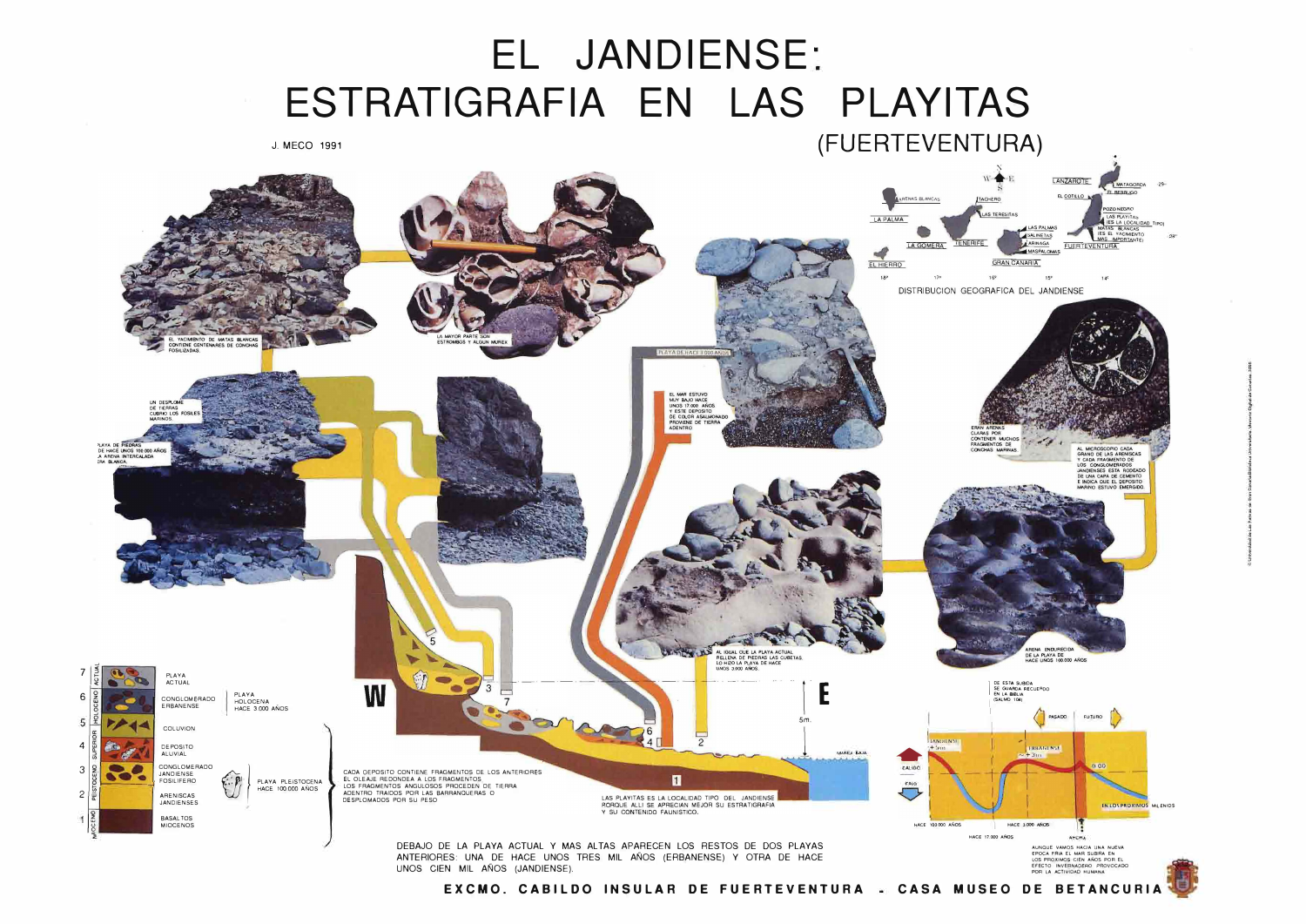